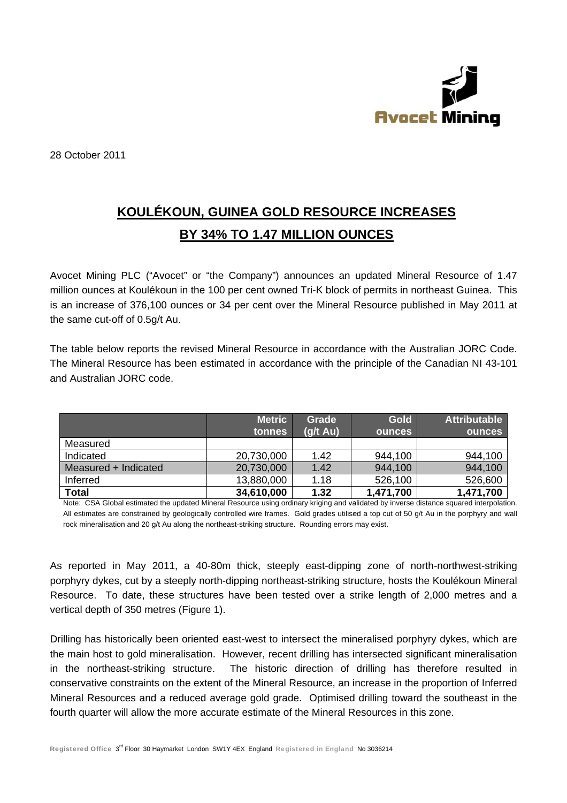

28 October 2011

# KOULÉKOUN, GUINEA GOLD RESOURCE INCREASES BY 34% TO 1.47 MILLION OUNCES

Avocet Mining PLC ("Avocet" or "the Company") announces an updated Mineral Resource of 1.47 million ounces at Koulékoun in the 100 per cent owned Tri-K block of permits in northeast Guinea. This is an increase of 376,100 ounces or 34 per cent over the Mineral Resource published in May 2011 at the same cut-off of 0.5q/t Au.

The table below reports the revised Mineral Resource in accordance with the Australian JORC Code. The Mineral Resource has been estimated in accordance with the principle of the Canadian NI 43-101 and Australian JORC code

|                      | <b>Metric</b><br>tonnes | Grade<br>$(g/t \, Au)$ | <b>Gold</b><br><b>ounces</b> | <b>Attributable</b><br><b>ounces</b> |
|----------------------|-------------------------|------------------------|------------------------------|--------------------------------------|
| Measured             |                         |                        |                              |                                      |
| Indicated            | 20,730,000              | 1.42                   | 944,100                      | 944,100                              |
| Measured + Indicated | 20,730,000              | 1.42                   | 944,100                      | 944,100                              |
| Inferred             | 13,880,000              | 1.18                   | 526,100                      | 526,600                              |
| <b>Total</b>         | 34,610,000              | 1.32                   | 1,471,700                    | 1,471,700                            |

Note: CSA Global estimated the updated Mineral Resource using ordinary kriging and validated by inverse distance squared interpolation. All estimates are constrained by geologically controlled wire frames. Gold grades utilised a top cut of 50 g/t Au in the porphyry and wall rock mineralisation and 20 g/t Au along the northeast-striking structure. Rounding errors may exist.

As reported in May 2011, a 40-80m thick, steeply east-dipping zone of north-northwest-striking porphyry dykes, cut by a steeply north-dipping northeast-striking structure, hosts the Koulékoun Mineral Resource. To date, these structures have been tested over a strike length of 2,000 metres and a vertical depth of 350 metres (Figure 1).

Drilling has historically been oriented east-west to intersect the mineralised porphyry dykes, which are the main host to gold mineralisation. However, recent drilling has intersected significant mineralisation The historic direction of drilling has therefore resulted in in the northeast-striking structure. conservative constraints on the extent of the Mineral Resource, an increase in the proportion of Inferred Mineral Resources and a reduced average gold grade. Optimised drilling toward the southeast in the fourth quarter will allow the more accurate estimate of the Mineral Resources in this zone.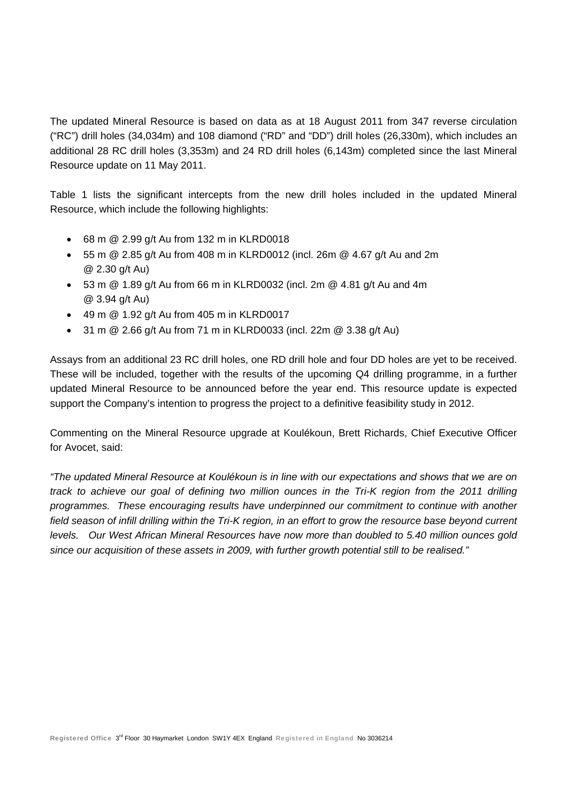The updated Mineral Resource is based on data as at 18 August 2011 from 347 reverse circulation ("RC") drill holes (34,034m) and 108 diamond ("RD" and "DD") drill holes (26,330m), which includes an additional 28 RC drill holes (3,353m) and 24 RD drill holes (6,143m) completed since the last Mineral Resource update on 11 May 2011.

Table 1 lists the significant intercepts from the new drill holes included in the updated Mineral Resource, which include the following highlights:

- 68 m @ 2.99 g/t Au from 132 m in KLRD0018
- 55 m @ 2.85 g/t Au from 408 m in KLRD0012 (incl. 26m @ 4.67 g/t Au and 2m @ 2.30 g/t Au)
- $\bullet$  53 m @ 1.89 g/t Au from 66 m in KLRD0032 (incl. 2m @ 4.81 g/t Au and 4m @ 3.94 g/t Au)
- $\bullet$  49 m  $\textcircled{a}$  1.92 g/t Au from 405 m in KLRD0017
- $\bullet$  31 m @ 2.66 g/t Au from 71 m in KLRD0033 (incl. 22m @ 3.38 g/t Au)

Assays from an additional 23 RC drill holes, one RD drill hole and four DD holes are yet to be received. These will be included, together with the results of the upcoming Q4 drilling programme, in a further updated Mineral Resource to be announced before the year end. This resource update is expected support the Company's intention to progress the project to a definitive feasibility study in 2012.

Commenting on the Mineral Resource upgrade at Koulékoun, Brett Richards, Chief Executive Officer for Avocet, said:

*"The updated Mineral Resource at Koulékoun is in line with our expectations and shows that we are on track to achieve our goal of defining two million ounces in the Tri-K region from the 2011 drilling programmes. These encouraging results have underpinned our commitment to continue with another*  field season of infill drilling within the Tri-K region, in an effort to grow the resource base beyond current *levels. Our West African Mineral Resources have now more than doubled to 5.40 million ounces gold since our acquisition of these assets in 2009, with further growth potential still to be realised."*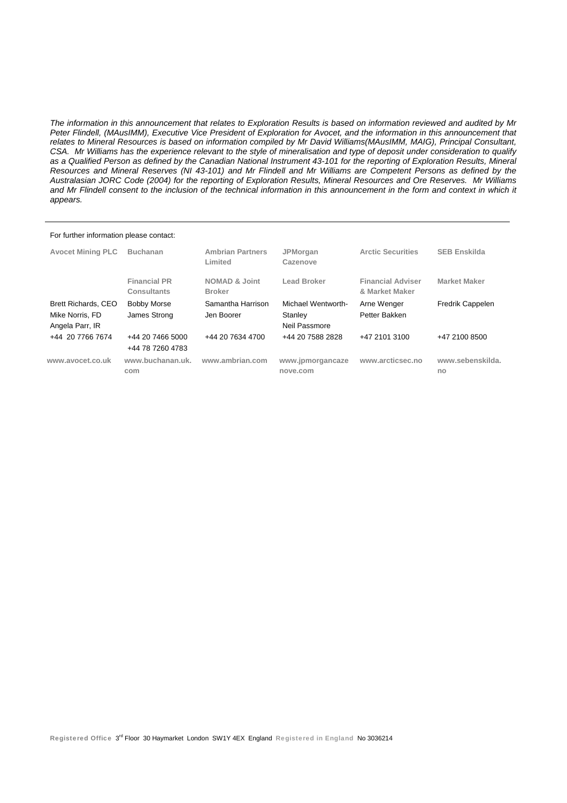*The information in this announcement that relates to Exploration Results is based on information reviewed and audited by Mr Peter Flindell, (MAusIMM), Executive Vice President of Exploration for Avocet, and the information in this announcement that*  relates to Mineral Resources is based on information compiled by Mr David Williams(MAusIMM, MAIG), Principal Consultant, *CSA. Mr Williams has the experience relevant to the style of mineralisation and type of deposit under consideration to qualify as a Qualified Person as defined by the Canadian National Instrument 43-101 for the reporting of Exploration Results, Mineral Resources and Mineral Reserves (NI 43-101) and Mr Flindell and Mr Williams are Competent Persons as defined by the Australasian JORC Code (2004) for the reporting of Exploration Results, Mineral Resources and Ore Reserves. Mr Williams*  and Mr Flindell consent to the inclusion of the technical information in this announcement in the form and context in which it *appears.* 

#### For further information please contact:

| <b>Avocet Mining PLC</b>                                         | <b>Buchanan</b>                      | <b>Ambrian Partners</b><br>Limited        | <b>JPMorgan</b><br>Cazenove                    | <b>Arctic Securities</b>                   | <b>SEB Enskilda</b>     |
|------------------------------------------------------------------|--------------------------------------|-------------------------------------------|------------------------------------------------|--------------------------------------------|-------------------------|
|                                                                  | <b>Financial PR</b><br>Consultants   | <b>NOMAD &amp; Joint</b><br><b>Broker</b> | Lead Broker                                    | <b>Financial Adviser</b><br>& Market Maker | <b>Market Maker</b>     |
| <b>Brett Richards, CEO</b><br>Mike Norris, FD<br>Angela Parr, IR | <b>Bobby Morse</b><br>James Strong   | Samantha Harrison<br>Jen Boorer           | Michael Wentworth-<br>Stanley<br>Neil Passmore | Arne Wenger<br>Petter Bakken               | <b>Fredrik Cappelen</b> |
| +44 20 7766 7674                                                 | +44 20 7466 5000<br>+44 78 7260 4783 | +44 20 7634 4700                          | +44 20 7588 2828                               | +47 2101 3100                              | +47 2100 8500           |
| www.avocet.co.uk                                                 | www.buchanan.uk.<br>com              | www.ambrian.com                           | www.jpmorgancaze<br>nove.com                   | www.arcticsec.no                           | www.sebenskilda.<br>no  |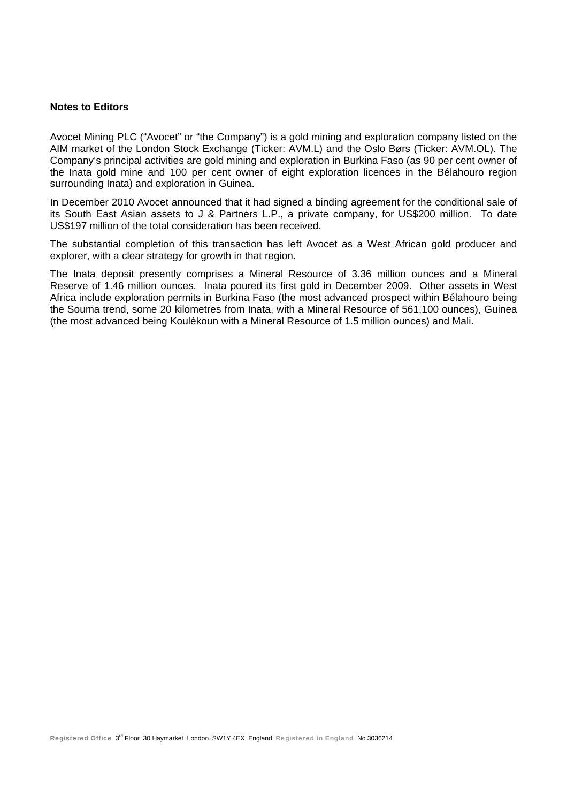#### **Notes to Editors**

Avocet Mining PLC ("Avocet" or "the Company") is a gold mining and exploration company listed on the AIM market of the London Stock Exchange (Ticker: AVM.L) and the Oslo Børs (Ticker: AVM.OL). The Company's principal activities are gold mining and exploration in Burkina Faso (as 90 per cent owner of the Inata gold mine and 100 per cent owner of eight exploration licences in the Bélahouro region surrounding Inata) and exploration in Guinea.

In December 2010 Avocet announced that it had signed a binding agreement for the conditional sale of its South East Asian assets to J & Partners L.P., a private company, for US\$200 million. To date US\$197 million of the total consideration has been received.

The substantial completion of this transaction has left Avocet as a West African gold producer and explorer, with a clear strategy for growth in that region.

The Inata deposit presently comprises a Mineral Resource of 3.36 million ounces and a Mineral Reserve of 1.46 million ounces. Inata poured its first gold in December 2009. Other assets in West Africa include exploration permits in Burkina Faso (the most advanced prospect within Bélahouro being the Souma trend, some 20 kilometres from Inata, with a Mineral Resource of 561,100 ounces), Guinea (the most advanced being Koulékoun with a Mineral Resource of 1.5 million ounces) and Mali.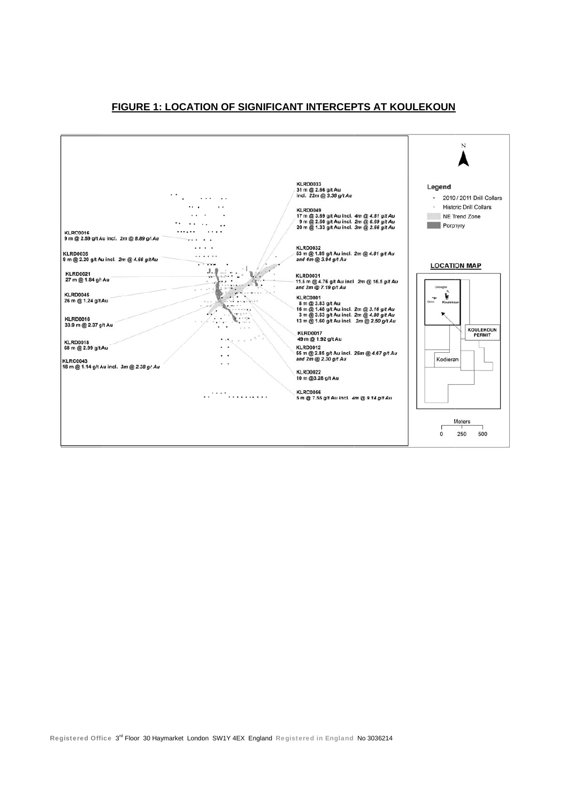### FIGURE 1: LOCATION OF SIGNIFICANT INTERCEPTS AT KOULEKOUN

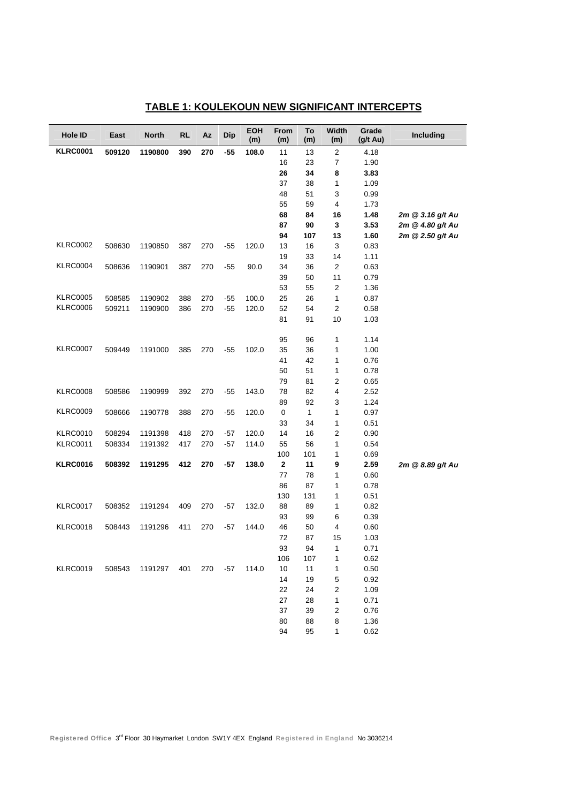| Hole ID         | East   | <b>North</b> | <b>RL</b> | Az  | <b>Dip</b> | <b>EOH</b><br>(m) | From<br>(m) | To<br>(m)    | <b>Width</b><br>(m)     | Grade<br>$(g/t \text{ Au})$ | Including        |
|-----------------|--------|--------------|-----------|-----|------------|-------------------|-------------|--------------|-------------------------|-----------------------------|------------------|
| <b>KLRC0001</b> | 509120 | 1190800      | 390       | 270 | -55        | 108.0             | 11          | 13           | $\overline{2}$          | 4.18                        |                  |
|                 |        |              |           |     |            |                   | 16          | 23           | $\overline{7}$          | 1.90                        |                  |
|                 |        |              |           |     |            |                   | 26          | 34           | 8                       | 3.83                        |                  |
|                 |        |              |           |     |            |                   | 37          | 38           | 1                       | 1.09                        |                  |
|                 |        |              |           |     |            |                   | 48          | 51           | 3                       | 0.99                        |                  |
|                 |        |              |           |     |            |                   | 55          | 59           | 4                       | 1.73                        |                  |
|                 |        |              |           |     |            |                   | 68          | 84           | 16                      | 1.48                        | 2m @ 3.16 g/t Au |
|                 |        |              |           |     |            |                   | 87          | 90           | 3                       | 3.53                        | 2m @ 4.80 g/t Au |
|                 |        |              |           |     |            |                   | 94          | 107          | 13                      | 1.60                        | 2m @ 2.50 g/t Au |
| <b>KLRC0002</b> | 508630 | 1190850      | 387       | 270 | $-55$      | 120.0             | 13          | 16           | 3                       | 0.83                        |                  |
|                 |        |              |           |     |            |                   | 19          | 33           | 14                      | 1.11                        |                  |
| <b>KLRC0004</b> | 508636 | 1190901      | 387       | 270 | $-55$      | 90.0              | 34          | 36           | 2                       | 0.63                        |                  |
|                 |        |              |           |     |            |                   | 39          | 50           | 11                      | 0.79                        |                  |
|                 |        |              |           |     |            |                   | 53          | 55           | $\sqrt{2}$              | 1.36                        |                  |
| <b>KLRC0005</b> | 508585 | 1190902      | 388       | 270 | $-55$      | 100.0             | 25          | 26           | 1                       | 0.87                        |                  |
| <b>KLRC0006</b> | 509211 | 1190900      | 386       | 270 | $-55$      | 120.0             | 52          | 54           | $\overline{2}$          | 0.58                        |                  |
|                 |        |              |           |     |            |                   | 81          | 91           | 10                      | 1.03                        |                  |
|                 |        |              |           |     |            |                   | 95          | 96           | 1                       | 1.14                        |                  |
| <b>KLRC0007</b> | 509449 | 1191000      | 385       | 270 | $-55$      | 102.0             | 35          | 36           | 1                       | 1.00                        |                  |
|                 |        |              |           |     |            |                   | 41          | 42           | 1                       | 0.76                        |                  |
|                 |        |              |           |     |            |                   | 50          | 51           | 1                       | 0.78                        |                  |
|                 |        |              |           |     |            |                   | 79          | 81           | $\overline{2}$          | 0.65                        |                  |
| <b>KLRC0008</b> | 508586 | 1190999      | 392       | 270 | $-55$      | 143.0             | 78          | 82           | 4                       | 2.52                        |                  |
|                 |        |              |           |     |            |                   | 89          | 92           | 3                       | 1.24                        |                  |
| <b>KLRC0009</b> | 508666 | 1190778      | 388       | 270 | $-55$      | 120.0             | 0           | $\mathbf{1}$ | 1                       | 0.97                        |                  |
|                 |        |              |           |     |            |                   | 33          | 34           | 1                       | 0.51                        |                  |
| <b>KLRC0010</b> | 508294 | 1191398      | 418       | 270 | $-57$      | 120.0             | 14          | 16           | $\overline{\mathbf{c}}$ | 0.90                        |                  |
| <b>KLRC0011</b> | 508334 | 1191392      | 417       | 270 | $-57$      | 114.0             | 55          | 56           | 1                       | 0.54                        |                  |
|                 |        |              |           |     |            |                   | 100         | 101          | 1                       | 0.69                        |                  |
| <b>KLRC0016</b> | 508392 | 1191295      | 412       | 270 | $-57$      | 138.0             | 2           | 11           | 9                       | 2.59                        | 2m @ 8.89 g/t Au |
|                 |        |              |           |     |            |                   | 77          | 78           | 1                       | 0.60                        |                  |
|                 |        |              |           |     |            |                   | 86          | 87           | 1                       | 0.78                        |                  |
|                 |        |              |           |     |            |                   | 130         | 131          | 1                       | 0.51                        |                  |
| <b>KLRC0017</b> | 508352 | 1191294      | 409       | 270 | $-57$      | 132.0             | 88          | 89           | 1                       | 0.82                        |                  |
|                 |        |              |           |     |            |                   | 93          | 99           | 6                       | 0.39                        |                  |
| <b>KLRC0018</b> | 508443 | 1191296      | 411       | 270 | $-57$      | 144.0             | 46          | 50           | 4                       | 0.60                        |                  |
|                 |        |              |           |     |            |                   | 72          | 87           | 15                      | 1.03                        |                  |
|                 |        |              |           |     |            |                   | 93          | 94           | 1                       | 0.71                        |                  |
|                 |        |              |           |     |            |                   | 106         | 107          | 1                       | 0.62                        |                  |
| <b>KLRC0019</b> | 508543 | 1191297 401  |           | 270 | -57        | 114.0             | $10$        | 11           | 1                       | 0.50                        |                  |
|                 |        |              |           |     |            |                   | 14          | 19           | 5                       | 0.92                        |                  |
|                 |        |              |           |     |            |                   | 22          | 24           | 2                       | 1.09                        |                  |
|                 |        |              |           |     |            |                   | 27          | 28           | 1                       | 0.71                        |                  |
|                 |        |              |           |     |            |                   | 37          | 39           | 2                       | 0.76                        |                  |
|                 |        |              |           |     |            |                   | 80          | 88           | 8                       | 1.36                        |                  |
|                 |        |              |           |     |            |                   | 94          | 95           | 1                       | 0.62                        |                  |

## **TABLE 1: KOULEKOUN NEW SIGNIFICANT INTERCEPTS**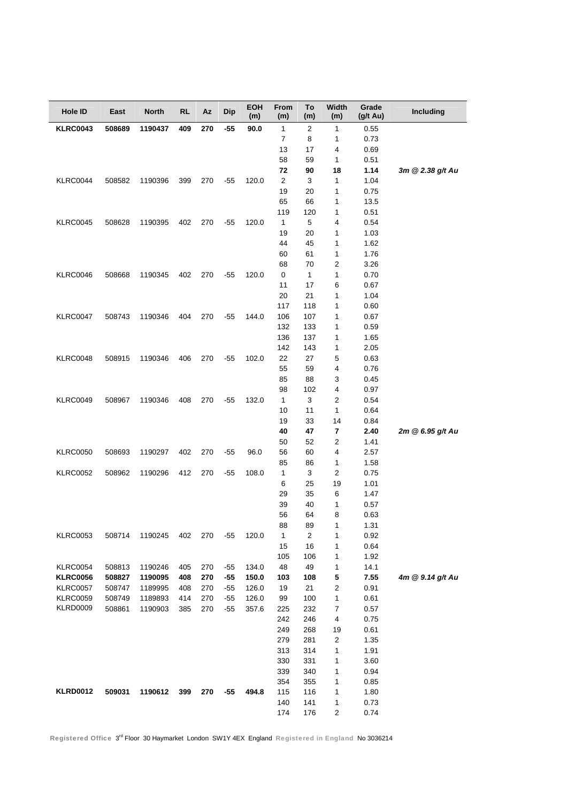| Hole ID         | East   | <b>North</b> | <b>RL</b> | Az  | Dip   | <b>EOH</b><br>(m) | From<br>(m)  | To<br>(m)      | Width<br>(m)                 | Grade<br>(g/t Au) | Including        |
|-----------------|--------|--------------|-----------|-----|-------|-------------------|--------------|----------------|------------------------------|-------------------|------------------|
| <b>KLRC0043</b> | 508689 | 1190437      | 409       | 270 | $-55$ | 90.0              | $\mathbf{1}$ | $\overline{2}$ | $\mathbf{1}$                 | 0.55              |                  |
|                 |        |              |           |     |       |                   | 7            | 8              | 1                            | 0.73              |                  |
|                 |        |              |           |     |       |                   | 13           | 17             | 4                            | 0.69              |                  |
|                 |        |              |           |     |       |                   | 58           | 59             | $\mathbf{1}$                 | 0.51              |                  |
|                 |        |              |           |     |       |                   | 72           | 90             | 18                           | 1.14              | 3m @ 2.38 g/t Au |
| <b>KLRC0044</b> | 508582 | 1190396      | 399       | 270 | $-55$ | 120.0             | 2            | 3              | $\mathbf{1}$                 | 1.04              |                  |
|                 |        |              |           |     |       |                   | 19           | 20             | 1                            | 0.75              |                  |
|                 |        |              |           |     |       |                   | 65           | 66             | 1                            | 13.5              |                  |
|                 |        |              |           |     |       |                   | 119          | 120            | 1                            | 0.51              |                  |
| <b>KLRC0045</b> | 508628 | 1190395      | 402       | 270 | $-55$ | 120.0             | 1            | 5              | 4                            | 0.54              |                  |
|                 |        |              |           |     |       |                   | 19           | 20             | 1                            | 1.03              |                  |
|                 |        |              |           |     |       |                   | 44           | 45             | 1                            | 1.62              |                  |
|                 |        |              |           |     |       |                   | 60           | 61             | 1                            | 1.76              |                  |
|                 |        |              |           |     |       |                   | 68           | 70             | $\overline{\mathbf{c}}$      | 3.26              |                  |
| <b>KLRC0046</b> | 508668 | 1190345      | 402       | 270 | $-55$ | 120.0             | $\pmb{0}$    | $\mathbf{1}$   | $\mathbf{1}$                 | 0.70              |                  |
|                 |        |              |           |     |       |                   | 11           | 17             | 6                            | 0.67              |                  |
|                 |        |              |           |     |       |                   | 20           | 21             | 1                            | 1.04              |                  |
|                 |        |              |           |     |       |                   | 117          | 118            | 1                            | 0.60              |                  |
| <b>KLRC0047</b> | 508743 | 1190346      | 404       | 270 | $-55$ | 144.0             | 106          | 107            | 1                            | 0.67              |                  |
|                 |        |              |           |     |       |                   | 132          | 133            | 1                            | 0.59              |                  |
|                 |        |              |           |     |       |                   | 136          | 137            | 1                            | 1.65              |                  |
|                 |        |              |           |     |       |                   | 142          | 143            | 1                            | 2.05              |                  |
| <b>KLRC0048</b> | 508915 | 1190346      | 406       | 270 | $-55$ | 102.0             | 22           | 27             | 5                            | 0.63              |                  |
|                 |        |              |           |     |       |                   | 55           | 59             | 4                            | 0.76              |                  |
|                 |        |              |           |     |       |                   | 85           | 88             | 3                            | 0.45              |                  |
|                 |        |              |           |     |       |                   | 98           | 102            | 4                            | 0.97              |                  |
| <b>KLRC0049</b> | 508967 | 1190346      | 408       | 270 | $-55$ | 132.0             | 1            | 3              | 2                            | 0.54              |                  |
|                 |        |              |           |     |       |                   | 10           | 11             | $\mathbf{1}$                 | 0.64              |                  |
|                 |        |              |           |     |       |                   | 19           | 33             | 14                           | 0.84              |                  |
|                 |        |              |           |     |       |                   | 40<br>50     | 47<br>52       | 7<br>$\overline{\mathbf{c}}$ | 2.40              | 2m @ 6.95 g/t Au |
| <b>KLRC0050</b> | 508693 | 1190297      | 402       | 270 | $-55$ | 96.0              | 56           | 60             | 4                            | 1.41<br>2.57      |                  |
|                 |        |              |           |     |       |                   | 85           | 86             | $\mathbf{1}$                 | 1.58              |                  |
| <b>KLRC0052</b> | 508962 | 1190296      | 412       | 270 | $-55$ | 108.0             | $\mathbf{1}$ | 3              | 2                            | 0.75              |                  |
|                 |        |              |           |     |       |                   | 6            | 25             | 19                           | 1.01              |                  |
|                 |        |              |           |     |       |                   | 29           | 35             | 6                            | 1.47              |                  |
|                 |        |              |           |     |       |                   | 39           | 40             | $\mathbf{1}$                 | 0.57              |                  |
|                 |        |              |           |     |       |                   | 56           | 64             | 8                            | 0.63              |                  |
|                 |        |              |           |     |       |                   | 88           | 89             | 1                            | 1.31              |                  |
| <b>KLRC0053</b> | 508714 | 1190245      | 402       | 270 | $-55$ | 120.0             | 1            | $\overline{2}$ | 1                            | 0.92              |                  |
|                 |        |              |           |     |       |                   | 15           | 16             | 1                            | 0.64              |                  |
|                 |        |              |           |     |       |                   | 105          | 106            | 1                            | 1.92              |                  |
| <b>KLRC0054</b> | 508813 | 1190246      | 405       | 270 | $-55$ | 134.0             | 48           | 49             | 1                            | 14.1              |                  |
| <b>KLRC0056</b> | 508827 | 1190095      | 408       | 270 | $-55$ | 150.0             | 103          | 108            | 5                            | 7.55              | 4m @ 9.14 g/t Au |
| <b>KLRC0057</b> | 508747 | 1189995      | 408       | 270 | $-55$ | 126.0             | 19           | 21             | $\overline{\mathbf{c}}$      | 0.91              |                  |
| <b>KLRC0059</b> | 508749 | 1189893      | 414       | 270 | $-55$ | 126.0             | 99           | 100            | 1                            | 0.61              |                  |
| KLRD0009        | 508861 | 1190903      | 385       | 270 | $-55$ | 357.6             | 225          | 232            | 7                            | 0.57              |                  |
|                 |        |              |           |     |       |                   | 242          | 246            | 4                            | 0.75              |                  |
|                 |        |              |           |     |       |                   | 249          | 268            | 19                           | 0.61              |                  |
|                 |        |              |           |     |       |                   | 279          | 281            | 2                            | 1.35              |                  |
|                 |        |              |           |     |       |                   | 313          | 314            | 1                            | 1.91              |                  |
|                 |        |              |           |     |       |                   | 330          | 331            | 1                            | 3.60              |                  |
|                 |        |              |           |     |       |                   | 339          | 340            | 1                            | 0.94              |                  |
|                 |        |              |           |     |       |                   | 354          | 355            | 1                            | 0.85              |                  |
| <b>KLRD0012</b> | 509031 | 1190612      | 399       | 270 | -55   | 494.8             | 115          | 116            | 1                            | 1.80              |                  |
|                 |        |              |           |     |       |                   | 140          | 141            | 1                            | 0.73              |                  |
|                 |        |              |           |     |       |                   | 174          | 176            | 2                            | 0.74              |                  |

Registered Office 3rd Floor 30 Haymarket London SW1Y 4EX England Registered in England No 3036214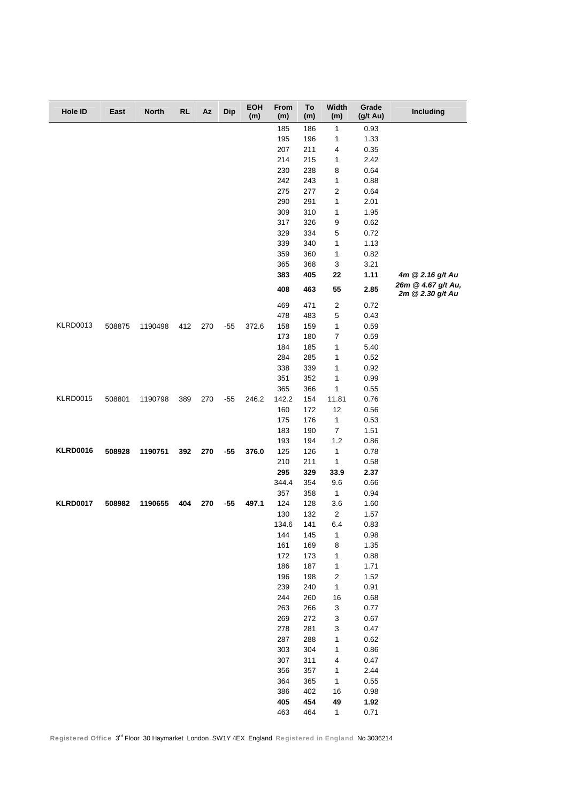| Hole ID         | East   | <b>North</b> | <b>RL</b> | Az  | <b>Dip</b> | <b>EOH</b><br>(m) | From<br>(m) | To<br>(m)  | Width<br>(m)              | Grade<br>(g/t Au) | Including                              |
|-----------------|--------|--------------|-----------|-----|------------|-------------------|-------------|------------|---------------------------|-------------------|----------------------------------------|
|                 |        |              |           |     |            |                   | 185         | 186        | 1                         | 0.93              |                                        |
|                 |        |              |           |     |            |                   | 195         | 196        | 1                         | 1.33              |                                        |
|                 |        |              |           |     |            |                   | 207         | 211        | 4                         | 0.35              |                                        |
|                 |        |              |           |     |            |                   | 214         | 215        | 1                         | 2.42              |                                        |
|                 |        |              |           |     |            |                   | 230         | 238        | 8                         | 0.64              |                                        |
|                 |        |              |           |     |            |                   | 242         | 243        | 1                         | 0.88              |                                        |
|                 |        |              |           |     |            |                   | 275         | 277        | 2                         | 0.64              |                                        |
|                 |        |              |           |     |            |                   | 290         | 291        | $\mathbf{1}$              | 2.01              |                                        |
|                 |        |              |           |     |            |                   | 309         | 310        | 1                         | 1.95              |                                        |
|                 |        |              |           |     |            |                   | 317         | 326        | 9                         | 0.62              |                                        |
|                 |        |              |           |     |            |                   | 329         | 334        | 5                         | 0.72              |                                        |
|                 |        |              |           |     |            |                   | 339         | 340        | 1                         | 1.13              |                                        |
|                 |        |              |           |     |            |                   | 359         | 360        | 1                         | 0.82              |                                        |
|                 |        |              |           |     |            |                   | 365         | 368        | 3                         | 3.21              |                                        |
|                 |        |              |           |     |            |                   | 383         | 405        | 22                        | 1.11              | 4m @ 2.16 g/t Au                       |
|                 |        |              |           |     |            |                   | 408         | 463        | 55                        | 2.85              | 26m @ 4.67 g/t Au,<br>2m @ 2.30 g/t Au |
|                 |        |              |           |     |            |                   | 469         | 471        | $\sqrt{2}$                | 0.72              |                                        |
|                 |        |              |           |     |            |                   | 478         | 483        | 5                         | 0.43              |                                        |
| <b>KLRD0013</b> | 508875 | 1190498      | 412       | 270 | $-55$      | 372.6             | 158         | 159        | 1                         | 0.59              |                                        |
|                 |        |              |           |     |            |                   | 173         | 180        | 7                         | 0.59              |                                        |
|                 |        |              |           |     |            |                   | 184         | 185        | 1                         | 5.40              |                                        |
|                 |        |              |           |     |            |                   | 284         | 285        | 1                         | 0.52              |                                        |
|                 |        |              |           |     |            |                   | 338         | 339        | 1                         | 0.92              |                                        |
|                 |        |              |           |     |            |                   | 351         | 352        | 1                         | 0.99              |                                        |
|                 |        |              |           |     |            |                   | 365         | 366        | 1                         | 0.55              |                                        |
| <b>KLRD0015</b> | 508801 | 1190798      | 389       | 270 | $-55$      | 246.2             | 142.2       | 154        | 11.81                     | 0.76              |                                        |
|                 |        |              |           |     |            |                   | 160         | 172        | 12                        | 0.56              |                                        |
|                 |        |              |           |     |            |                   | 175         | 176        | $\mathbf{1}$              | 0.53              |                                        |
|                 |        |              |           |     |            |                   | 183         | 190        | $\overline{7}$            | 1.51              |                                        |
|                 |        |              |           |     |            |                   | 193         | 194        | 1.2                       | 0.86              |                                        |
| <b>KLRD0016</b> | 508928 | 1190751      | 392       | 270 | -55        | 376.0             | 125         | 126        | 1                         | 0.78              |                                        |
|                 |        |              |           |     |            |                   | 210         | 211        | 1                         | 0.58              |                                        |
|                 |        |              |           |     |            |                   | 295         | 329        | 33.9                      | 2.37              |                                        |
|                 |        |              |           |     |            |                   | 344.4       | 354        | 9.6                       | 0.66              |                                        |
|                 |        |              |           |     |            |                   | 357         | 358        | $\mathbf{1}$              | 0.94              |                                        |
| <b>KLRD0017</b> | 508982 | 1190655      | 404       | 270 | $-55$      | 497.1             | 124         | 128        | 3.6                       | 1.60              |                                        |
|                 |        |              |           |     |            |                   | 130         | 132        | $\overline{2}$            | 1.57              |                                        |
|                 |        |              |           |     |            |                   | 134.6       | 141        | 6.4                       | 0.83              |                                        |
|                 |        |              |           |     |            |                   | 144         | 145        | $\mathbf{1}$              | 0.98              |                                        |
|                 |        |              |           |     |            |                   | 161         | 169        | 8                         | 1.35              |                                        |
|                 |        |              |           |     |            |                   | 172         | 173        | 1                         | 0.88              |                                        |
|                 |        |              |           |     |            |                   | 186         | 187        | $\mathbf{1}$              | 1.71              |                                        |
|                 |        |              |           |     |            |                   | 196         | 198        | $\overline{\mathbf{c}}$   | 1.52              |                                        |
|                 |        |              |           |     |            |                   | 239         | 240        | $\mathbf{1}$              | 0.91              |                                        |
|                 |        |              |           |     |            |                   | 244         | 260        | 16                        | 0.68              |                                        |
|                 |        |              |           |     |            |                   | 263         | 266        | $\ensuremath{\mathsf{3}}$ | 0.77              |                                        |
|                 |        |              |           |     |            |                   | 269<br>278  | 272<br>281 | $\ensuremath{\mathsf{3}}$ | 0.67<br>0.47      |                                        |
|                 |        |              |           |     |            |                   | 287         | 288        | 3                         | 0.62              |                                        |
|                 |        |              |           |     |            |                   | 303         | 304        | $\mathbf{1}$              | 0.86              |                                        |
|                 |        |              |           |     |            |                   | 307         | 311        | 1<br>4                    | 0.47              |                                        |
|                 |        |              |           |     |            |                   | 356         | 357        | $\mathbf{1}$              | 2.44              |                                        |
|                 |        |              |           |     |            |                   | 364         | 365        | $\mathbf{1}$              | 0.55              |                                        |
|                 |        |              |           |     |            |                   | 386         | 402        | 16                        | 0.98              |                                        |
|                 |        |              |           |     |            |                   | 405         | 454        | 49                        | 1.92              |                                        |
|                 |        |              |           |     |            |                   | 463         | 464        | $\mathbf{1}$              | 0.71              |                                        |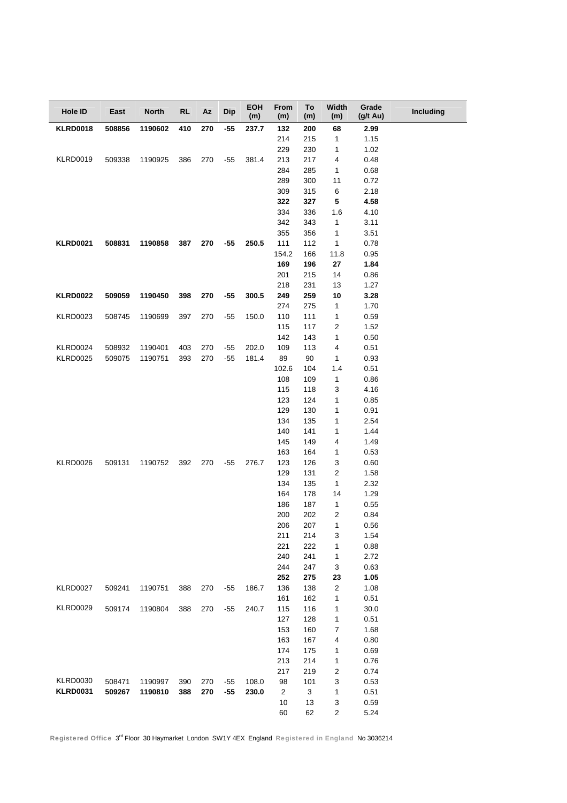| Hole ID         | East   | <b>North</b> | <b>RL</b> | Az  | <b>Dip</b> | <b>EOH</b><br>(m) | <b>From</b><br>(m) | To<br>(m)  | Width<br>(m)            | Grade<br>(g/t Au) | Including |
|-----------------|--------|--------------|-----------|-----|------------|-------------------|--------------------|------------|-------------------------|-------------------|-----------|
| <b>KLRD0018</b> | 508856 | 1190602      | 410       | 270 | $-55$      | 237.7             | 132                | 200        | 68                      | 2.99              |           |
|                 |        |              |           |     |            |                   | 214                | 215        | $\mathbf{1}$            | 1.15              |           |
|                 |        |              |           |     |            |                   | 229                | 230        | 1                       | 1.02              |           |
| <b>KLRD0019</b> | 509338 | 1190925      | 386       | 270 | -55        | 381.4             | 213                | 217        | $\overline{\mathbf{4}}$ | 0.48              |           |
|                 |        |              |           |     |            |                   | 284                | 285        | $\mathbf{1}$            | 0.68              |           |
|                 |        |              |           |     |            |                   | 289                | 300        | 11                      | 0.72              |           |
|                 |        |              |           |     |            |                   | 309                | 315        | 6                       | 2.18              |           |
|                 |        |              |           |     |            |                   | 322                | 327        | 5                       | 4.58              |           |
|                 |        |              |           |     |            |                   | 334                | 336        | 1.6                     | 4.10              |           |
|                 |        |              |           |     |            |                   | 342                | 343        | $\mathbf{1}$            | 3.11              |           |
|                 |        |              |           |     |            |                   | 355                | 356        | 1                       | 3.51              |           |
| <b>KLRD0021</b> | 508831 | 1190858      | 387       | 270 | $-55$      | 250.5             | 111                | 112        | $\mathbf{1}$            | 0.78              |           |
|                 |        |              |           |     |            |                   | 154.2              | 166        | 11.8                    | 0.95              |           |
|                 |        |              |           |     |            |                   | 169<br>201         | 196        | 27<br>14                | 1.84              |           |
|                 |        |              |           |     |            |                   | 218                | 215<br>231 | 13                      | 0.86<br>1.27      |           |
| <b>KLRD0022</b> | 509059 | 1190450      | 398       | 270 | $-55$      | 300.5             | 249                | 259        | 10                      | 3.28              |           |
|                 |        |              |           |     |            |                   | 274                | 275        | $\mathbf{1}$            | 1.70              |           |
| <b>KLRD0023</b> | 508745 | 1190699      | 397       | 270 | $-55$      | 150.0             | 110                | 111        | $\mathbf{1}$            | 0.59              |           |
|                 |        |              |           |     |            |                   | 115                | 117        | $\boldsymbol{2}$        | 1.52              |           |
|                 |        |              |           |     |            |                   | 142                | 143        | $\mathbf{1}$            | 0.50              |           |
| <b>KLRD0024</b> | 508932 | 1190401      | 403       | 270 | $-55$      | 202.0             | 109                | 113        | $\overline{\mathbf{4}}$ | 0.51              |           |
| <b>KLRD0025</b> | 509075 | 1190751      | 393       | 270 | $-55$      | 181.4             | 89                 | 90         | $\mathbf{1}$            | 0.93              |           |
|                 |        |              |           |     |            |                   | 102.6              | 104        | 1.4                     | 0.51              |           |
|                 |        |              |           |     |            |                   | 108                | 109        | $\mathbf{1}$            | 0.86              |           |
|                 |        |              |           |     |            |                   | 115                | 118        | 3                       | 4.16              |           |
|                 |        |              |           |     |            |                   | 123                | 124        | $\mathbf{1}$            | 0.85              |           |
|                 |        |              |           |     |            |                   | 129                | 130        | $\mathbf{1}$            | 0.91              |           |
|                 |        |              |           |     |            |                   | 134                | 135        | $\mathbf{1}$            | 2.54              |           |
|                 |        |              |           |     |            |                   | 140                | 141        | $\mathbf{1}$            | 1.44              |           |
|                 |        |              |           |     |            |                   | 145                | 149        | 4                       | 1.49              |           |
|                 |        |              |           |     |            |                   | 163                | 164        | 1                       | 0.53              |           |
| <b>KLRD0026</b> | 509131 | 1190752      | 392       | 270 | -55        | 276.7             | 123                | 126        | 3                       | 0.60              |           |
|                 |        |              |           |     |            |                   | 129                | 131        | $\sqrt{2}$              | 1.58              |           |
|                 |        |              |           |     |            |                   | 134                | 135        | $\mathbf{1}$            | 2.32              |           |
|                 |        |              |           |     |            |                   | 164                | 178        | 14                      | 1.29              |           |
|                 |        |              |           |     |            |                   | 186                | 187        | $\mathbf{1}$            | 0.55              |           |
|                 |        |              |           |     |            |                   | 200                | 202        | $\overline{2}$          | 0.84              |           |
|                 |        |              |           |     |            |                   | 206                | 207        | $\mathbf{1}$            | 0.56              |           |
|                 |        |              |           |     |            |                   | 211                | 214        | 3                       | 1.54              |           |
|                 |        |              |           |     |            |                   | 221                | 222        | 1                       | 0.88              |           |
|                 |        |              |           |     |            |                   | 240<br>244         | 241<br>247 | 1<br>3                  | 2.72<br>0.63      |           |
|                 |        |              |           |     |            |                   | 252                | 275        | 23                      | 1.05              |           |
| <b>KLRD0027</b> | 509241 | 1190751      | 388       | 270 | $-55$      | 186.7             | 136                | 138        | $\sqrt{2}$              | 1.08              |           |
|                 |        |              |           |     |            |                   | 161                | 162        | 1                       | 0.51              |           |
| <b>KLRD0029</b> | 509174 | 1190804      | 388       | 270 | $-55$      | 240.7             | 115                | 116        | 1                       | 30.0              |           |
|                 |        |              |           |     |            |                   | 127                | 128        | 1                       | 0.51              |           |
|                 |        |              |           |     |            |                   | 153                | 160        | $\boldsymbol{7}$        | 1.68              |           |
|                 |        |              |           |     |            |                   | 163                | 167        | 4                       | 0.80              |           |
|                 |        |              |           |     |            |                   | 174                | 175        | 1                       | 0.69              |           |
|                 |        |              |           |     |            |                   | 213                | 214        | 1                       | 0.76              |           |
|                 |        |              |           |     |            |                   | 217                | 219        | 2                       | 0.74              |           |
| <b>KLRD0030</b> | 508471 | 1190997      | 390       | 270 | $-55$      | 108.0             | 98                 | 101        | 3                       | 0.53              |           |
| <b>KLRD0031</b> | 509267 | 1190810      | 388       | 270 | $-55$      | 230.0             | $\overline{2}$     | 3          | 1                       | 0.51              |           |
|                 |        |              |           |     |            |                   | 10                 | 13         | 3                       | 0.59              |           |
|                 |        |              |           |     |            |                   | 60                 | 62         | $\sqrt{2}$              | 5.24              |           |

Registered Office 3rd Floor 30 Haymarket London SW1Y 4EX England Registered in England No 3036214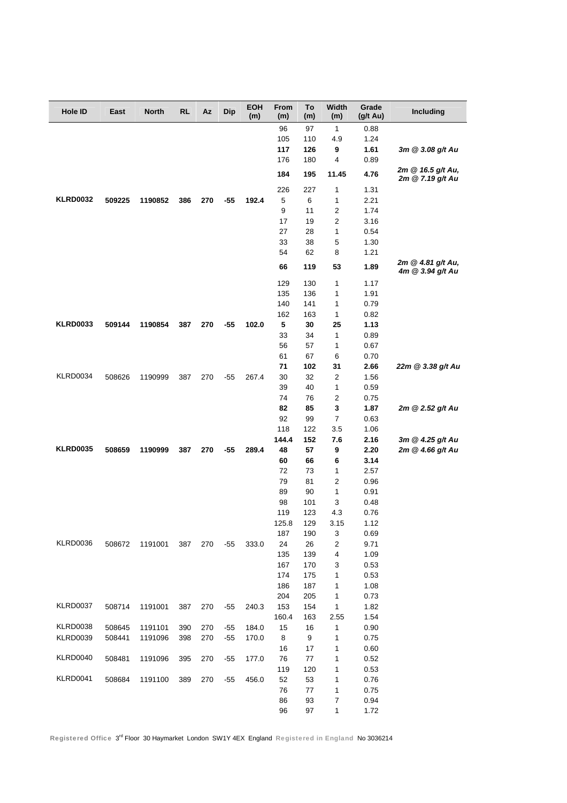| Hole ID         | East   | <b>North</b> | <b>RL</b> | Az  | <b>Dip</b> | <b>EOH</b><br>(m) | From<br>(m) | To<br>(m)  | Width<br>(m)            | Grade<br>$(g/t \text{ Au})$ | Including                             |
|-----------------|--------|--------------|-----------|-----|------------|-------------------|-------------|------------|-------------------------|-----------------------------|---------------------------------------|
|                 |        |              |           |     |            |                   | 96          | 97         | 1                       | 0.88                        |                                       |
|                 |        |              |           |     |            |                   | 105         | 110        | 4.9                     | 1.24                        |                                       |
|                 |        |              |           |     |            |                   | 117         | 126        | 9                       | 1.61                        | 3m @ 3.08 g/t Au                      |
|                 |        |              |           |     |            |                   | 176         | 180        | 4                       | 0.89                        |                                       |
|                 |        |              |           |     |            |                   | 184         | 195        | 11.45                   | 4.76                        | 2m @ 16.5 g/t Au,<br>2m @ 7.19 g/t Au |
|                 |        |              |           |     |            |                   | 226         | 227        | 1                       | 1.31                        |                                       |
| <b>KLRD0032</b> | 509225 | 1190852      | 386       | 270 | -55        | 192.4             | 5           | 6          | 1                       | 2.21                        |                                       |
|                 |        |              |           |     |            |                   | 9           | 11         | 2                       | 1.74                        |                                       |
|                 |        |              |           |     |            |                   | 17          | 19         | 2                       | 3.16                        |                                       |
|                 |        |              |           |     |            |                   | 27          | 28         | 1                       | 0.54                        |                                       |
|                 |        |              |           |     |            |                   | 33          | 38         | 5                       | 1.30                        |                                       |
|                 |        |              |           |     |            |                   | 54<br>66    | 62<br>119  | 8<br>53                 | 1.21<br>1.89                | 2m @ 4.81 g/t Au,                     |
|                 |        |              |           |     |            |                   |             |            |                         |                             | 4m @ 3.94 g/t Au                      |
|                 |        |              |           |     |            |                   | 129         | 130        | 1                       | 1.17                        |                                       |
|                 |        |              |           |     |            |                   | 135         | 136        | 1                       | 1.91                        |                                       |
|                 |        |              |           |     |            |                   | 140<br>162  | 141<br>163 | 1<br>1                  | 0.79<br>0.82                |                                       |
| <b>KLRD0033</b> | 509144 | 1190854      | 387       | 270 | $-55$      | 102.0             | 5           | 30         | 25                      | 1.13                        |                                       |
|                 |        |              |           |     |            |                   | 33          | 34         | 1                       | 0.89                        |                                       |
|                 |        |              |           |     |            |                   | 56          | 57         | 1                       | 0.67                        |                                       |
|                 |        |              |           |     |            |                   | 61          | 67         | 6                       | 0.70                        |                                       |
|                 |        |              |           |     |            |                   | 71          | 102        | 31                      | 2.66                        | 22m @ 3.38 g/t Au                     |
| <b>KLRD0034</b> | 508626 | 1190999      | 387       | 270 | $-55$      | 267.4             | 30          | 32         | 2                       | 1.56                        |                                       |
|                 |        |              |           |     |            |                   | 39          | 40         | 1                       | 0.59                        |                                       |
|                 |        |              |           |     |            |                   | 74          | 76         | $\overline{\mathbf{c}}$ | 0.75                        |                                       |
|                 |        |              |           |     |            |                   | 82          | 85         | 3                       | 1.87                        | 2m @ 2.52 g/t Au                      |
|                 |        |              |           |     |            |                   | 92          | 99         | 7                       | 0.63                        |                                       |
|                 |        |              |           |     |            |                   | 118         | 122        | 3.5                     | 1.06                        |                                       |
|                 |        |              |           |     |            |                   | 144.4       | 152        | 7.6                     | 2.16                        | 3m @ 4.25 g/t Au                      |
| <b>KLRD0035</b> | 508659 | 1190999      | 387       | 270 | $-55$      | 289.4             | 48          | 57         | 9                       | 2.20                        | 2m @ 4.66 g/t Au                      |
|                 |        |              |           |     |            |                   | 60          | 66         | 6                       | 3.14                        |                                       |
|                 |        |              |           |     |            |                   | 72          | 73         | 1                       | 2.57                        |                                       |
|                 |        |              |           |     |            |                   | 79          | 81         | 2                       | 0.96                        |                                       |
|                 |        |              |           |     |            |                   | 89<br>98    | 90<br>101  | 1<br>3                  | 0.91                        |                                       |
|                 |        |              |           |     |            |                   | 119         | 123        | 4.3                     | 0.48<br>0.76                |                                       |
|                 |        |              |           |     |            |                   | 125.8       | 129        | 3.15                    | 1.12                        |                                       |
|                 |        |              |           |     |            |                   | 187         | 190        | 3                       | 0.69                        |                                       |
| KLRD0036        | 508672 | 1191001      | 387       | 270 | $-55$      | 333.0             | 24          | 26         | 2                       | 9.71                        |                                       |
|                 |        |              |           |     |            |                   | 135         | 139        | 4                       | 1.09                        |                                       |
|                 |        |              |           |     |            |                   | 167         | 170        | 3                       | 0.53                        |                                       |
|                 |        |              |           |     |            |                   | 174         | 175        | 1                       | 0.53                        |                                       |
|                 |        |              |           |     |            |                   | 186         | 187        | 1                       | 1.08                        |                                       |
|                 |        |              |           |     |            |                   | 204         | 205        | 1                       | 0.73                        |                                       |
| KLRD0037        | 508714 | 1191001      | 387       | 270 | $-55$      | 240.3             | 153         | 154        | 1                       | 1.82                        |                                       |
|                 |        |              |           |     |            |                   | 160.4       | 163        | 2.55                    | 1.54                        |                                       |
| KLRD0038        | 508645 | 1191101      | 390       | 270 | $-55$      | 184.0             | 15          | 16         | $\mathbf{1}$            | 0.90                        |                                       |
| <b>KLRD0039</b> | 508441 | 1191096      | 398       | 270 | $-55$      | 170.0             | 8           | 9          | 1                       | 0.75                        |                                       |
|                 |        |              |           |     |            |                   | 16          | 17         | 1                       | 0.60                        |                                       |
| KLRD0040        | 508481 | 1191096      | 395       | 270 | $-55$      | 177.0             | 76          | 77         | 1                       | 0.52                        |                                       |
| <b>KLRD0041</b> |        |              |           |     |            |                   | 119         | 120        | 1                       | 0.53                        |                                       |
|                 | 508684 | 1191100      | 389       | 270 | $-55$      | 456.0             | 52<br>76    | 53<br>77   | 1                       | 0.76                        |                                       |
|                 |        |              |           |     |            |                   | 86          | 93         | 1<br>7                  | 0.75<br>0.94                |                                       |
|                 |        |              |           |     |            |                   | 96          | 97         | 1                       | 1.72                        |                                       |